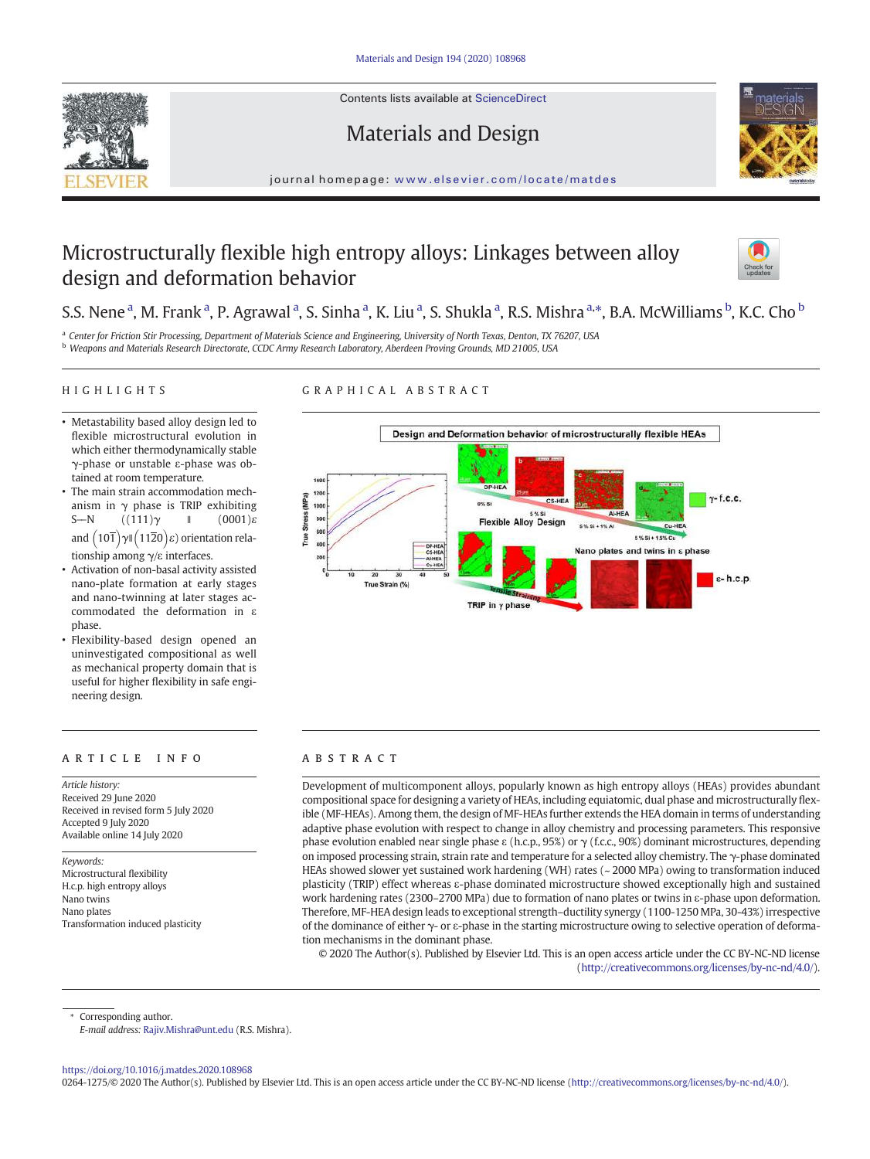Contents lists available at ScienceDirect







journal homepage: www.elsevier.com/locate/matdes

# Microstructurally flexible high entropy alloys: Linkages between alloy design and deformation behavior



# S.S. Nene<sup>a</sup>, M. Frank<sup>a</sup>, P. Agrawal<sup>a</sup>, S. Sinha<sup>a</sup>, K. Liu<sup>a</sup>, S. Shukla<sup>a</sup>, R.S. Mishra<sup>a,\*</sup>, B.A. McWilliams<sup>b</sup>, K.C. Cho<sup>b</sup>

a *Center for Friction Stir Processing, Department of Materials Science and Engineering, University of North Texas, Denton, TX 76207, USA* <sup>b</sup> *Weapons and Materials Research Directorate, CCDC Army Research Laboratory, Aberdeen Proving Grounds, MD 21005, USA*

### HIGHLIGHTS

# GRAPHICAL ABSTRACT

- Metastability based alloy design led to flexible microstructural evolution in which either thermodynamically stable γ-phase or unstable ε-phase was obtained at room temperature.
- The main strain accommodation mechanism in  $\gamma$  phase is TRIP exhibiting S- $\overline{N}$  ((111)γ ∥ (0001)ε and  $\left(10\overline{1}\right)\gamma$ II  $\left(11\overline{2}0\right)\varepsilon$ ) orientation relationship among γ/ε interfaces.
- Activation of non-basal activity assisted nano-plate formation at early stages and nano-twinning at later stages accommodated the deformation in ε phase.
- Flexibility-based design opened an uninvestigated compositional as well as mechanical property domain that is useful for higher flexibility in safe engineering design.

# article info abstract

*Article history:* Received 29 June 2020 Received in revised form 5 July 2020 Accepted 9 July 2020 Available online 14 July 2020

*Keywords:* Microstructural flexibility H.c.p. high entropy alloys Nano twins Nano plates Transformation induced plasticity



Development of multicomponent alloys, popularly known as high entropy alloys (HEAs) provides abundant compositional space for designing a variety of HEAs, including equiatomic, dual phase and microstructurally flexible (MF-HEAs). Among them, the design of MF-HEAs further extends the HEA domain in terms of understanding adaptive phase evolution with respect to change in alloy chemistry and processing parameters. This responsive phase evolution enabled near single phase ε (h.c.p., 95%) or  $\gamma$  (f.c.c., 90%) dominant microstructures, depending on imposed processing strain, strain rate and temperature for a selected alloy chemistry. The γ-phase dominated HEAs showed slower yet sustained work hardening (WH) rates (~ 2000 MPa) owing to transformation induced plasticity (TRIP) effect whereas ε-phase dominated microstructure showed exceptionally high and sustained work hardening rates (2300–2700 MPa) due to formation of nano plates or twins in ε-phase upon deformation. Therefore, MF-HEA design leads to exceptional strength–ductility synergy (1100-1250 MPa, 30-43%) irrespective of the dominance of either γ- or ε-phase in the starting microstructure owing to selective operation of deformation mechanisms in the dominant phase.

© 2020 The Author(s). Published by Elsevier Ltd. This is an open access article under the CC BY-NC-ND license (http://creativecommons.org/licenses/by-nc-nd/4.0/).

Corresponding author.

*E-mail address:* Rajiv.Mishra@unt.edu (R.S. Mishra).

https://doi.org/10.1016/j.matdes.2020.108968

0264-1275/© 2020 The Author(s). Published by Elsevier Ltd. This is an open access article under the CC BY-NC-ND license (http://creativecommons.org/licenses/by-nc-nd/4.0/).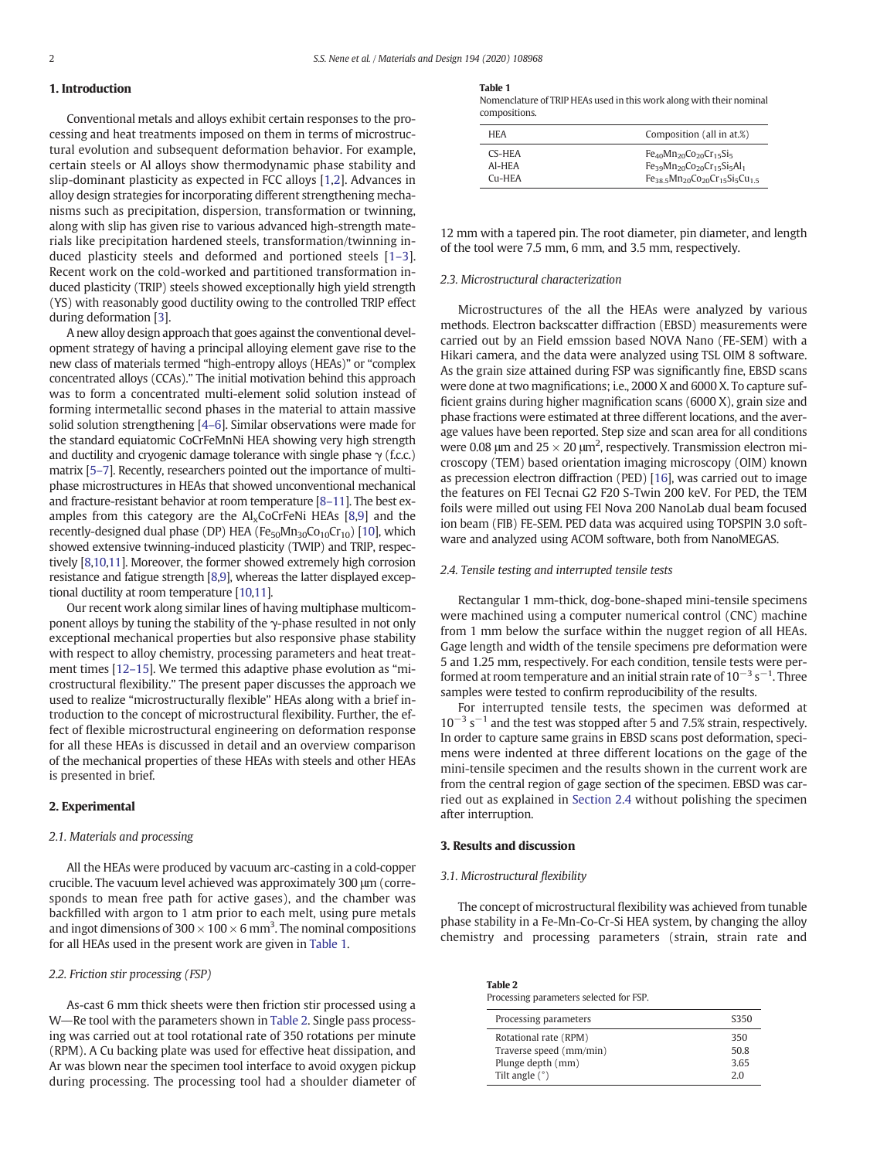# 1. Introduction

Conventional metals and alloys exhibit certain responses to the processing and heat treatments imposed on them in terms of microstructural evolution and subsequent deformation behavior. For example, certain steels or Al alloys show thermodynamic phase stability and slip-dominant plasticity as expected in FCC alloys [1,2]. Advances in alloy design strategies for incorporating different strengthening mechanisms such as precipitation, dispersion, transformation or twinning, along with slip has given rise to various advanced high-strength materials like precipitation hardened steels, transformation/twinning induced plasticity steels and deformed and portioned steels [1–3]. Recent work on the cold-worked and partitioned transformation induced plasticity (TRIP) steels showed exceptionally high yield strength (YS) with reasonably good ductility owing to the controlled TRIP effect during deformation [3].

A new alloy design approach that goes against the conventional development strategy of having a principal alloying element gave rise to the new class of materials termed "high-entropy alloys (HEAs)" or "complex concentrated alloys (CCAs)." The initial motivation behind this approach was to form a concentrated multi-element solid solution instead of forming intermetallic second phases in the material to attain massive solid solution strengthening [4–6]. Similar observations were made for the standard equiatomic CoCrFeMnNi HEA showing very high strength and ductility and cryogenic damage tolerance with single phase  $\gamma$  (f.c.c.) matrix [5–7]. Recently, researchers pointed out the importance of multiphase microstructures in HEAs that showed unconventional mechanical and fracture-resistant behavior at room temperature [8–11]. The best examples from this category are the  $\text{Al}_{\text{x}}\text{CoCrFeNi}$  HEAs [8,9] and the recently-designed dual phase (DP) HEA (Fe<sub>50</sub>Mn<sub>30</sub>Co<sub>10</sub>Cr<sub>10</sub>) [10], which showed extensive twinning-induced plasticity (TWIP) and TRIP, respectively [8,10,11]. Moreover, the former showed extremely high corrosion resistance and fatigue strength [8,9], whereas the latter displayed exceptional ductility at room temperature [10,11].

Our recent work along similar lines of having multiphase multicomponent alloys by tuning the stability of the γ-phase resulted in not only exceptional mechanical properties but also responsive phase stability with respect to alloy chemistry, processing parameters and heat treatment times [12–15]. We termed this adaptive phase evolution as "microstructural flexibility." The present paper discusses the approach we used to realize "microstructurally flexible" HEAs along with a brief introduction to the concept of microstructural flexibility. Further, the effect of flexible microstructural engineering on deformation response for all these HEAs is discussed in detail and an overview comparison of the mechanical properties of these HEAs with steels and other HEAs is presented in brief.

# 2. Experimental

#### *2.1. Materials and processing*

All the HEAs were produced by vacuum arc-casting in a cold‑copper crucible. The vacuum level achieved was approximately 300 μm (corresponds to mean free path for active gases), and the chamber was backfilled with argon to 1 atm prior to each melt, using pure metals and ingot dimensions of 300  $\times$  100  $\times$  6 mm<sup>3</sup>. The nominal compositions for all HEAs used in the present work are given in Table 1.

### *2.2. Friction stir processing (FSP)*

As-cast 6 mm thick sheets were then friction stir processed using a W-Re tool with the parameters shown in Table 2. Single pass processing was carried out at tool rotational rate of 350 rotations per minute (RPM). A Cu backing plate was used for effective heat dissipation, and Ar was blown near the specimen tool interface to avoid oxygen pickup during processing. The processing tool had a shoulder diameter of

#### Table 1

Nomenclature of TRIP HEAs used in this work along with their nominal compositions.

| <b>HFA</b> | Composition (all in at.%)                      |
|------------|------------------------------------------------|
| CS-HEA     | $Fe_{40}Mn_{20}Co_{20}Cr_{15}Si_{5}$           |
| AI-HEA     | $Fe_{39}Mn_{20}Co_{20}Cr_{15}Si_{5}Al_{1}$     |
| $C11-HFA$  | $Fe_{38.5}Mn_{20}Co_{20}Cr_{15}Si_{5}Cu_{1.5}$ |

12 mm with a tapered pin. The root diameter, pin diameter, and length of the tool were 7.5 mm, 6 mm, and 3.5 mm, respectively.

# *2.3. Microstructural characterization*

Microstructures of the all the HEAs were analyzed by various methods. Electron backscatter diffraction (EBSD) measurements were carried out by an Field emssion based NOVA Nano (FE-SEM) with a Hikari camera, and the data were analyzed using TSL OIM 8 software. As the grain size attained during FSP was significantly fine, EBSD scans were done at two magnifications; i.e., 2000 X and 6000 X. To capture sufficient grains during higher magnification scans (6000 X), grain size and phase fractions were estimated at three different locations, and the average values have been reported. Step size and scan area for all conditions were 0.08 μm and  $25 \times 20$  μm<sup>2</sup>, respectively. Transmission electron microscopy (TEM) based orientation imaging microscopy (OIM) known as precession electron diffraction (PED) [16], was carried out to image the features on FEI Tecnai G2 F20 S-Twin 200 keV. For PED, the TEM foils were milled out using FEI Nova 200 NanoLab dual beam focused ion beam (FIB) FE-SEM. PED data was acquired using TOPSPIN 3.0 software and analyzed using ACOM software, both from NanoMEGAS.

#### *2.4. Tensile testing and interrupted tensile tests*

Rectangular 1 mm-thick, dog-bone-shaped mini-tensile specimens were machined using a computer numerical control (CNC) machine from 1 mm below the surface within the nugget region of all HEAs. Gage length and width of the tensile specimens pre deformation were 5 and 1.25 mm, respectively. For each condition, tensile tests were performed at room temperature and an initial strain rate of  $10^{-3}$  s<sup>-1</sup>. Three samples were tested to confirm reproducibility of the results.

For interrupted tensile tests, the specimen was deformed at 10−<sup>3</sup> s −1 and the test was stopped after 5 and 7.5% strain, respectively. In order to capture same grains in EBSD scans post deformation, specimens were indented at three different locations on the gage of the mini-tensile specimen and the results shown in the current work are from the central region of gage section of the specimen. EBSD was carried out as explained in Section 2.4 without polishing the specimen after interruption.

# 3. Results and discussion

#### *3.1. Microstructural* fl*exibility*

The concept of microstructural flexibility was achieved from tunable phase stability in a Fe-Mn-Co-Cr-Si HEA system, by changing the alloy chemistry and processing parameters (strain, strain rate and

Table 2 Processing parameters selected for FSP.

| Processing parameters   | \$350 |
|-------------------------|-------|
| Rotational rate (RPM)   | 350   |
| Traverse speed (mm/min) | 50.8  |
| Plunge depth (mm)       | 3.65  |
| Tilt angle $(°)$        | 20    |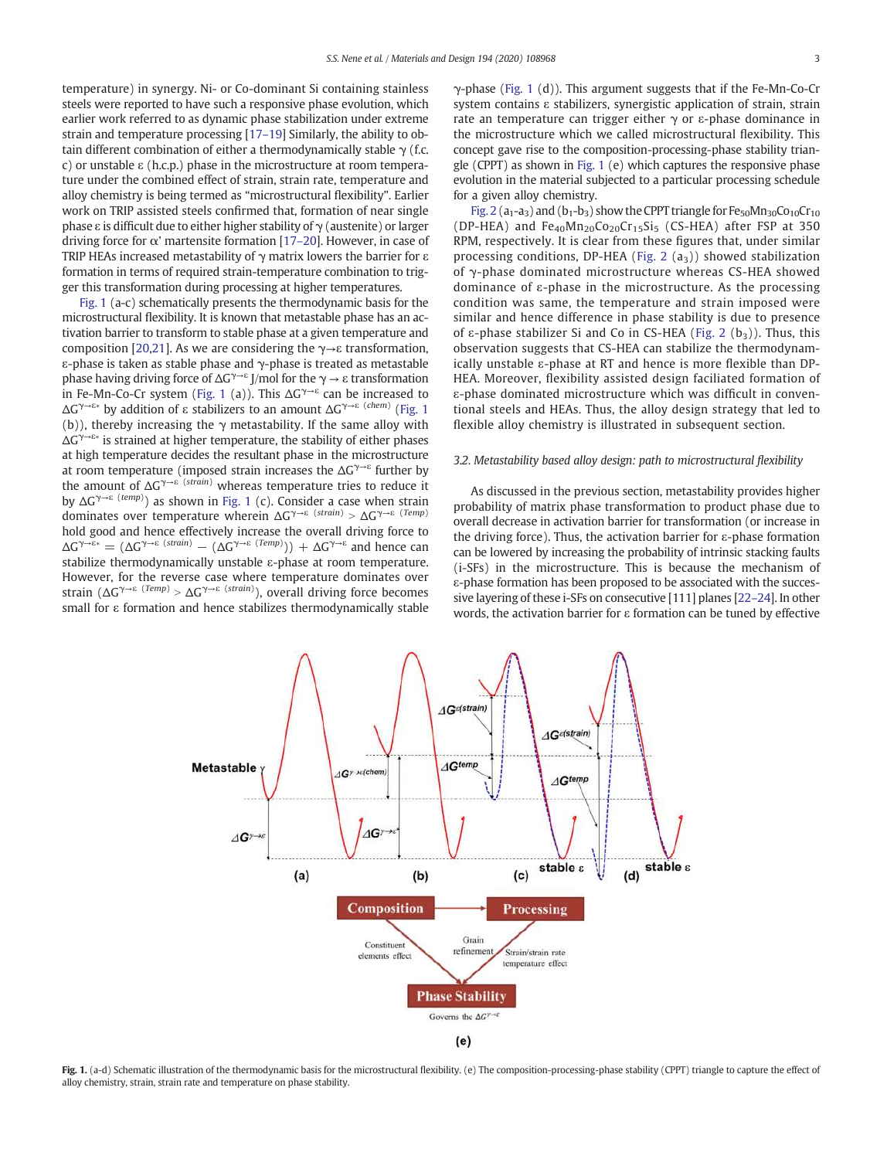temperature) in synergy. Ni- or Co-dominant Si containing stainless steels were reported to have such a responsive phase evolution, which earlier work referred to as dynamic phase stabilization under extreme strain and temperature processing [17–19] Similarly, the ability to obtain different combination of either a thermodynamically stable  $\gamma$  (f.c. c) or unstable ε (h.c.p.) phase in the microstructure at room temperature under the combined effect of strain, strain rate, temperature and alloy chemistry is being termed as "microstructural flexibility". Earlier work on TRIP assisted steels confirmed that, formation of near single phase ε is difficult due to either higher stability of  $\gamma$  (austenite) or larger driving force for  $\alpha'$  martensite formation [17–20]. However, in case of TRIP HEAs increased metastability of  $\gamma$  matrix lowers the barrier for  $\varepsilon$ formation in terms of required strain-temperature combination to trigger this transformation during processing at higher temperatures.

Fig. 1 (a-c) schematically presents the thermodynamic basis for the microstructural flexibility. It is known that metastable phase has an activation barrier to transform to stable phase at a given temperature and composition [20,21]. As we are considering the  $\gamma \rightarrow \epsilon$  transformation, ε-phase is taken as stable phase and γ-phase is treated as metastable phase having driving force of  $\Delta G^{\gamma\rightarrow\epsilon}$  J/mol for the  $\gamma \rightarrow \epsilon$  transformation in Fe-Mn-Co-Cr system (Fig. 1 (a)). This  $\Delta G^{\gamma\rightarrow \epsilon}$  can be increased to ΔG γ→ε∗ by addition of ε stabilizers to an amount ΔG γ→ε (*chem*) (Fig. 1 (b)), thereby increasing the  $\gamma$  metastability. If the same alloy with ΔG γ→ε∗ is strained at higher temperature, the stability of either phases at high temperature decides the resultant phase in the microstructure at room temperature (imposed strain increases the  $\Delta G^{\gamma\rightarrow\epsilon}$  further by the amount of ΔG <sup>γ</sup>→<sup>ε</sup> (*strain*) whereas temperature tries to reduce it by ΔG γ→ε (*temp*) ) as shown in Fig. 1 (c). Consider a case when strain dominates over temperature wherein ΔG<sup>γ→ε (strain)</sup> > ΔG<sup>γ→ε (Temp)</sup> hold good and hence effectively increase the overall driving force to  $\Delta G^{\gamma \to \epsilon *} = (\Delta G^{\gamma \to \epsilon \ (strain)} - (\Delta G^{\gamma \to \epsilon \ (Temp)}) + \Delta G^{\gamma \to \epsilon}$  and hence can stabilize thermodynamically unstable ε-phase at room temperature. However, for the reverse case where temperature dominates over strain ( $\Delta G^{\gamma \to \epsilon}$  (*Temp*) >  $\Delta G^{\gamma \to \epsilon}$  (*strain*), overall driving force becomes small for ε formation and hence stabilizes thermodynamically stable γ-phase (Fig. 1 (d)). This argument suggests that if the Fe-Mn-Co-Cr system contains ε stabilizers, synergistic application of strain, strain rate an temperature can trigger either  $\gamma$  or  $\varepsilon$ -phase dominance in the microstructure which we called microstructural flexibility. This concept gave rise to the composition-processing-phase stability triangle (CPPT) as shown in Fig. 1 (e) which captures the responsive phase evolution in the material subjected to a particular processing schedule for a given alloy chemistry.

Fig. 2 ( $a_1-a_3$ ) and ( $b_1-b_3$ ) show the CPPT triangle for Fe<sub>50</sub>Mn<sub>30</sub>Co<sub>10</sub>Cr<sub>10</sub> (DP-HEA) and  $Fe_{40}Mn_{20}Co_{20}Cr_{15}Si_5$  (CS-HEA) after FSP at 350 RPM, respectively. It is clear from these figures that, under similar processing conditions, DP-HEA (Fig. 2  $(a<sub>3</sub>)$ ) showed stabilization of γ-phase dominated microstructure whereas CS-HEA showed dominance of ε-phase in the microstructure. As the processing condition was same, the temperature and strain imposed were similar and hence difference in phase stability is due to presence of ε-phase stabilizer Si and Co in CS-HEA (Fig. 2  $(b_3)$ ). Thus, this observation suggests that CS-HEA can stabilize the thermodynamically unstable ε-phase at RT and hence is more flexible than DP-HEA. Moreover, flexibility assisted design faciliated formation of ε-phase dominated microstructure which was difficult in conventional steels and HEAs. Thus, the alloy design strategy that led to flexible alloy chemistry is illustrated in subsequent section.

# *3.2. Metastability based alloy design: path to microstructural* fl*exibility*

As discussed in the previous section, metastability provides higher probability of matrix phase transformation to product phase due to overall decrease in activation barrier for transformation (or increase in the driving force). Thus, the activation barrier for ε-phase formation can be lowered by increasing the probability of intrinsic stacking faults (i-SFs) in the microstructure. This is because the mechanism of ε-phase formation has been proposed to be associated with the successive layering of these i-SFs on consecutive [111] planes [22–24]. In other words, the activation barrier for ε formation can be tuned by effective



Fig. 1. (a-d) Schematic illustration of the thermodynamic basis for the microstructural flexibility. (e) The composition-processing-phase stability (CPPT) triangle to capture the effect of alloy chemistry, strain, strain rate and temperature on phase stability.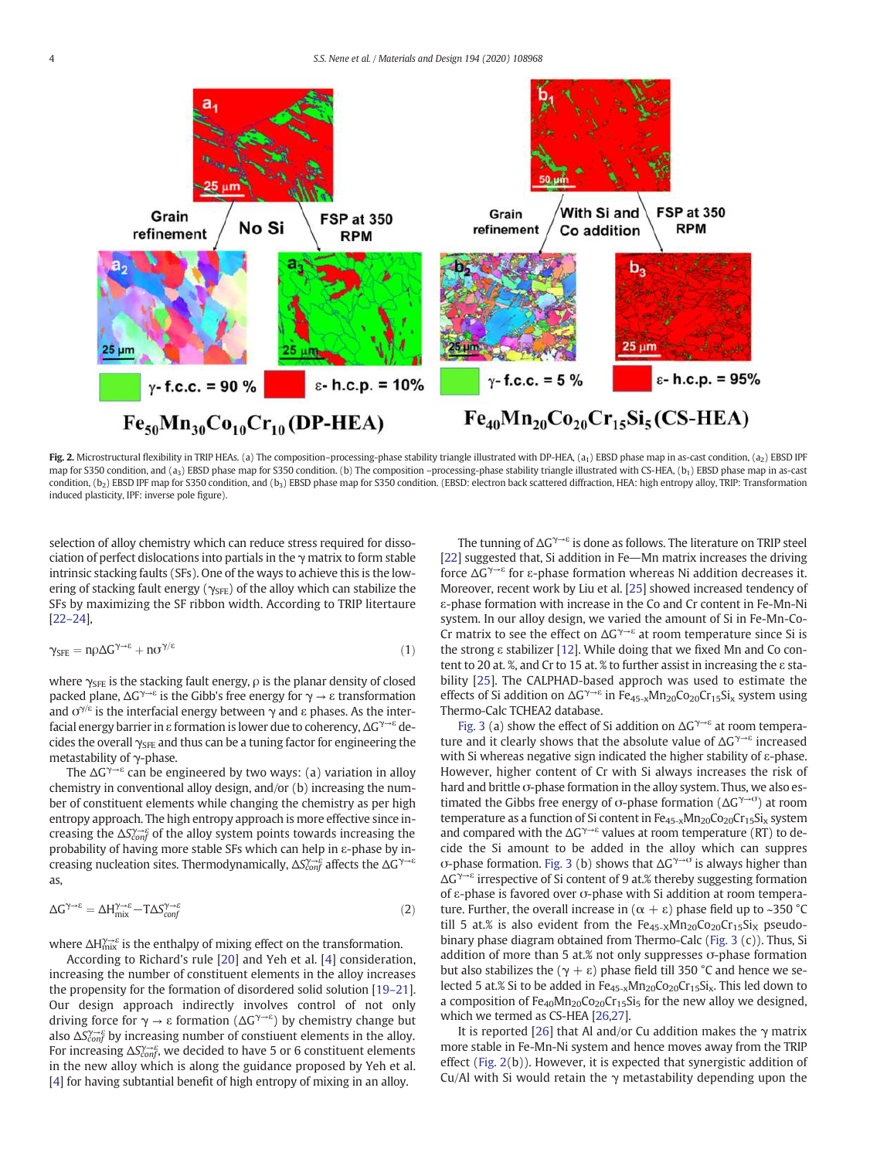

Fig. 2. Microstructural flexibility in TRIP HEAs. (a) The composition–processing-phase stability triangle illustrated with DP-HEA, (a<sub>1</sub>) EBSD phase map in as-cast condition, (a<sub>2</sub>) EBSD IPF map for S350 condition, and (a<sub>3</sub>) EBSD phase map for S350 condition. (b) The composition -processing-phase stability triangle illustrated with CS-HEA, (b<sub>1</sub>) EBSD phase map in as-cast condition, (b<sub>2</sub>) EBSD IPF map for S350 condition, and (b<sub>3</sub>) EBSD phase map for S350 condition. (EBSD: electron back scattered diffraction, HEA: high entropy alloy, TRIP: Transformation induced plasticity, IPF: inverse pole figure).

selection of alloy chemistry which can reduce stress required for dissociation of perfect dislocations into partials in the  $\gamma$  matrix to form stable intrinsic stacking faults (SFs). One of the ways to achieve this is the lowering of stacking fault energy ( $\gamma_{SFE}$ ) of the alloy which can stabilize the SFs by maximizing the SF ribbon width. According to TRIP litertaure [22–24],

$$
\gamma_{SFE} = n\rho \Delta G^{\gamma \to \epsilon} + n\sigma^{\gamma/\epsilon} \tag{1}
$$

where  $\gamma_{\rm SFE}$  is the stacking fault energy,  $\rho$  is the planar density of closed packed plane,  $\Delta G^{\gamma\rightarrow\epsilon}$  is the Gibb's free energy for  $\gamma \rightarrow \epsilon$  transformation and  $\sigma^{\gamma/\varepsilon}$  is the interfacial energy between  $\gamma$  and  $\varepsilon$  phases. As the interfacial energy barrier in ε formation is lower due to coherency, ΔG<sup>γ→ε</sup> decides the overall  $\gamma_{\rm SFE}$  and thus can be a tuning factor for engineering the metastability of γ-phase.

The  $\Delta G^{\gamma \rightarrow \epsilon}$  can be engineered by two ways: (a) variation in alloy chemistry in conventional alloy design, and/or (b) increasing the number of constituent elements while changing the chemistry as per high entropy approach. The high entropy approach is more effective since increasing the ∆*Sconf* γ→ε of the alloy system points towards increasing the probability of having more stable SFs which can help in ε-phase by increasing nucleation sites. Thermodynamically, ∆*Sconf* γ→ε affects the ΔG γ→ε as,

$$
\Delta G^{\gamma \to \varepsilon} = \Delta H^{\gamma \to \varepsilon}_{\text{mix}} - T \Delta S^{\gamma \to \varepsilon}_{\text{conf}} \tag{2}
$$

where  $\Delta H_{\rm mix}^{\gamma\rightarrow\varepsilon}$  is the enthalpy of mixing effect on the transformation.

According to Richard's rule [20] and Yeh et al. [4] consideration, increasing the number of constituent elements in the alloy increases the propensity for the formation of disordered solid solution [19–21]. Our design approach indirectly involves control of not only driving force for  $\gamma \rightarrow \varepsilon$  formation (ΔG<sup> $\gamma\rightarrow \varepsilon$ </sup>) by chemistry change but also ∆*S*<sup>γ→ε</sup> by increasing number of constiuent elements in the alloy. For increasing ∆*S*<sup> $\gamma\rightarrow$ ε</sup>, we decided to have 5 or 6 constituent elements in the new alloy which is along the guidance proposed by Yeh et al. [4] for having subtantial benefit of high entropy of mixing in an alloy.

The tunning of  $\Delta G^{\gamma\rightarrow\epsilon}$  is done as follows. The literature on TRIP steel [22] suggested that, Si addition in Fe-Mn matrix increases the driving force ΔG γ→ε for ε-phase formation whereas Ni addition decreases it. Moreover, recent work by Liu et al. [25] showed increased tendency of ε-phase formation with increase in the Co and Cr content in Fe-Mn-Ni system. In our alloy design, we varied the amount of Si in Fe-Mn-Co-Cr matrix to see the effect on  $\Delta G^{\gamma \rightarrow \epsilon}$  at room temperature since Si is the strong ε stabilizer [12]. While doing that we fixed Mn and Co content to 20 at. %, and Cr to 15 at. % to further assist in increasing the ε stability [25]. The CALPHAD-based approch was used to estimate the effects of Si addition on  $\Delta G^{\gamma \rightarrow \epsilon}$  in Fe<sub>45-x</sub>Mn<sub>20</sub>Co<sub>20</sub>Cr<sub>15</sub>Si<sub>x</sub> system using Thermo-Calc TCHEA2 database.

Fig. 3 (a) show the effect of Si addition on  $\Delta G^{\gamma \rightarrow \epsilon}$  at room temperature and it clearly shows that the absolute value of  $\Delta G^{\gamma \rightarrow \epsilon}$  increased with Si whereas negative sign indicated the higher stability of ε-phase. However, higher content of Cr with Si always increases the risk of hard and brittle σ-phase formation in the alloy system. Thus, we also estimated the Gibbs free energy of σ-phase formation ( $\Delta G^{\gamma \to \sigma}$ ) at room temperature as a function of Si content in  $Fe_{45-x}Mn_{20}Co_{20}Cr_{15}Si_{x}$  system and compared with the  $\Delta G^{\gamma \rightarrow \varepsilon}$  values at room temperature (RT) to decide the Si amount to be added in the alloy which can suppres σ-phase formation. Fig. 3 (b) shows that  $\Delta G^{\gamma \to \sigma}$  is always higher than ΔG γ→ε irrespective of Si content of 9 at.% thereby suggesting formation of ε-phase is favored over σ-phase with Si addition at room temperature. Further, the overall increase in  $(α + ε)$  phase field up to ~350 °C till 5 at.% is also evident from the  $Fe_{45-x}Mn_{20}Co_{20}Cr_{15}Si_{X}$  pseudobinary phase diagram obtained from Thermo-Calc (Fig. 3 (c)). Thus, Si addition of more than 5 at.% not only suppresses σ-phase formation but also stabilizes the ( $\gamma + ε$ ) phase field till 350 °C and hence we selected 5 at.% Si to be added in  $Fe_{45-x}Mn_{20}Co_{20}Cr_{15}Si_x$ . This led down to a composition of  $Fe_{40}Mn_{20}Co_{20}Cr_{15}Si_5$  for the new alloy we designed, which we termed as CS-HEA [26,27].

It is reported [26] that Al and/or Cu addition makes the  $\gamma$  matrix more stable in Fe-Mn-Ni system and hence moves away from the TRIP effect (Fig. 2(b)). However, it is expected that synergistic addition of Cu/Al with Si would retain the  $\gamma$  metastability depending upon the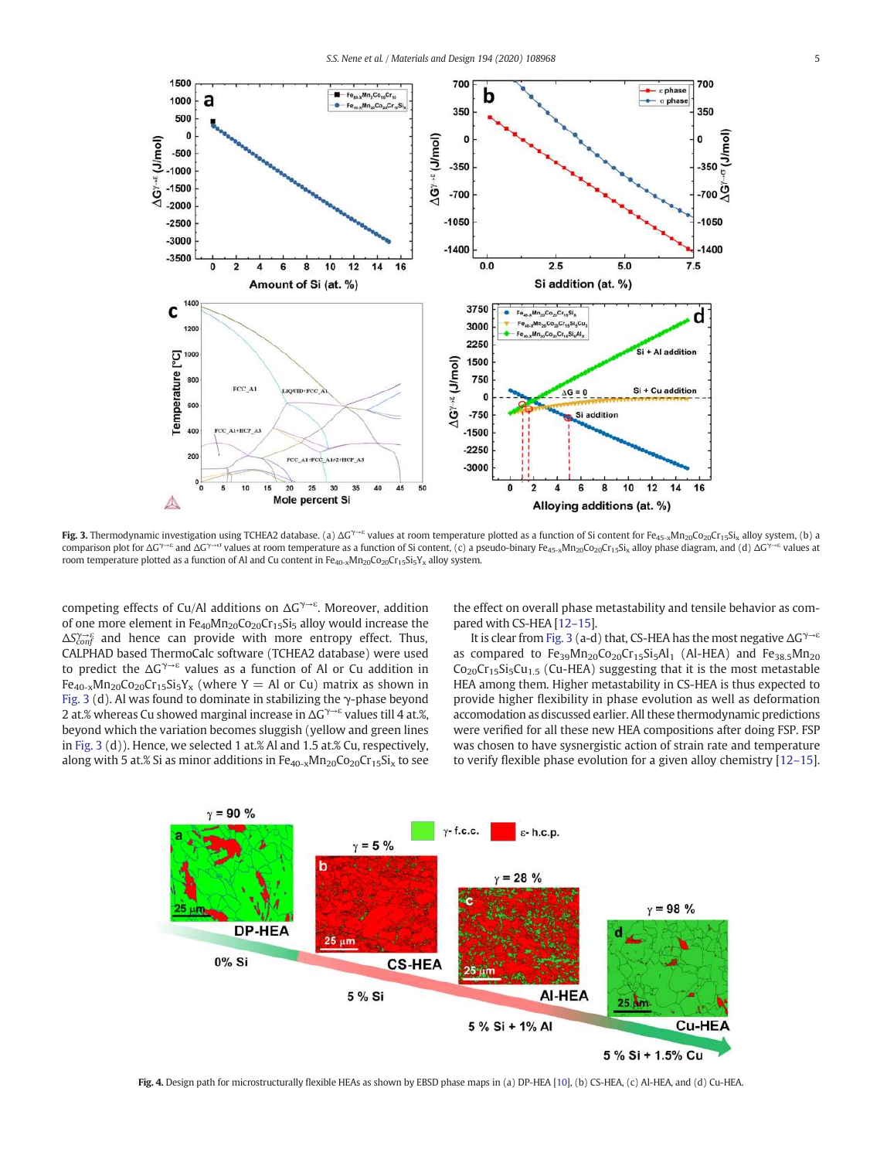

Fig. 3. Thermodynamic investigation using TCHEA2 database. (a)  $\Delta G^{\gamma-\epsilon}$  values at room temperature plotted as a function of Si content for Fe<sub>45-x</sub>Mn<sub>20</sub>Co<sub>20</sub>Cr<sub>15</sub>Si<sub>x</sub> alloy system, (b) a comparison plot for  $\Delta G^{\gamma-\varepsilon}$  and  $\Delta G^{\gamma-\varepsilon}$  values at room temperature as a function of Si content, (c) a pseudo-binary Fe<sub>45-x</sub>Mn<sub>20</sub>Co<sub>20</sub>Cr<sub>15</sub>Si<sub>x</sub> alloy phase diagram, and (d)  $\Delta G^{\gamma-\varepsilon}$  values at room temperature plotted as a function of Al and Cu content in  $Fe_{40-x}Mn_{20}Co_{20}Cr_{15}Si_5Y_x$  alloy system.

competing effects of Cu/Al additions on  $\Delta G^{\gamma\rightarrow\epsilon}$ . Moreover, addition of one more element in  $Fe_{40}Mn_{20}Co_{20}Cr_{15}Si_5$  alloy would increase the ∆*Sconf* γ→ε and hence can provide with more entropy effect. Thus, CALPHAD based ThermoCalc software (TCHEA2 database) were used to predict the  $\Delta G^{\gamma\rightarrow \epsilon}$  values as a function of Al or Cu addition in  $Fe_{40-x}Mn_{20}Co_{20}Cr_{15}Si_5Y_x$  (where Y = Al or Cu) matrix as shown in Fig. 3 (d). Al was found to dominate in stabilizing the  $\gamma$ -phase beyond 2 at.% whereas Cu showed marginal increase in ΔG<sup>γ→ε</sup> values till 4 at.%, beyond which the variation becomes sluggish (yellow and green lines in Fig. 3 (d)). Hence, we selected 1 at.% Al and 1.5 at.% Cu, respectively, along with 5 at.% Si as minor additions in  $Fe_{40-x}Mn_{20}Co_{20}Cr_{15}Si_x$  to see the effect on overall phase metastability and tensile behavior as compared with CS-HEA [12–15].

It is clear from Fig. 3 (a-d) that, CS-HEA has the most negative  $\Delta G^{\gamma \rightarrow \epsilon}$ as compared to  $Fe_{39}Mn_{20}Co_{20}Cr_{15}Si<sub>5</sub>Al<sub>1</sub>$  (Al-HEA) and  $Fe_{38.5}Mn_{20}$  $Co<sub>20</sub>Cr<sub>15</sub>Si<sub>5</sub>Cu<sub>15</sub>$  (Cu-HEA) suggesting that it is the most metastable HEA among them. Higher metastability in CS-HEA is thus expected to provide higher flexibility in phase evolution as well as deformation accomodation as discussed earlier. All these thermodynamic predictions were verified for all these new HEA compositions after doing FSP. FSP was chosen to have sysnergistic action of strain rate and temperature to verify flexible phase evolution for a given alloy chemistry [12–15].



Fig. 4. Design path for microstructurally flexible HEAs as shown by EBSD phase maps in (a) DP-HEA [10], (b) CS-HEA, (c) Al-HEA, and (d) Cu-HEA.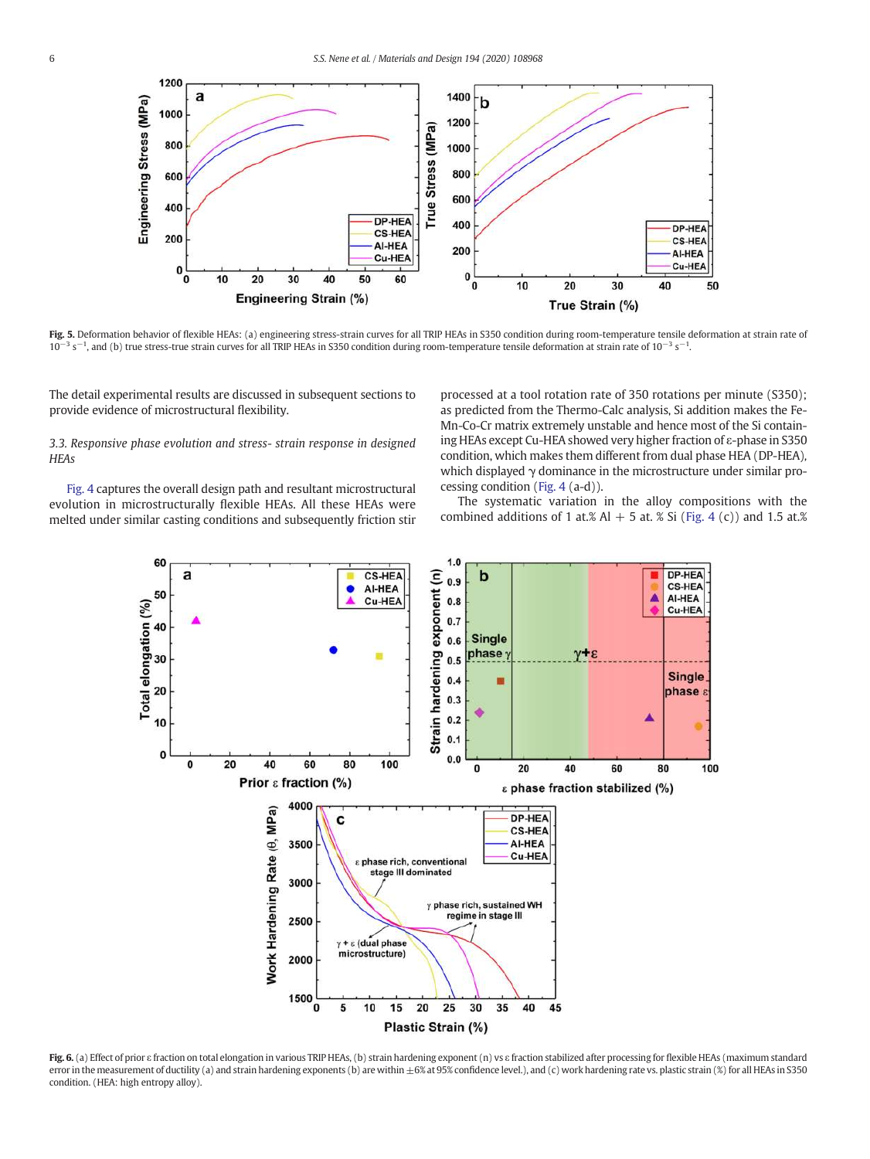

Fig. 5. Deformation behavior of flexible HEAs: (a) engineering stress-strain curves for all TRIP HEAs in S350 condition during room-temperature tensile deformation at strain rate of  $10^{-3}$  s<sup>-1</sup>, and (b) true stress-true strain curves for all TRIP HEAs in S350 condition during room-temperature tensile deformation at strain rate of  $10^{-3}$  s<sup>-1</sup>.

The detail experimental results are discussed in subsequent sections to provide evidence of microstructural flexibility.

*3.3. Responsive phase evolution and stress- strain response in designed HEAs*

Fig. 4 captures the overall design path and resultant microstructural evolution in microstructurally flexible HEAs. All these HEAs were melted under similar casting conditions and subsequently friction stir processed at a tool rotation rate of 350 rotations per minute (S350); as predicted from the Thermo-Calc analysis, Si addition makes the Fe-Mn-Co-Cr matrix extremely unstable and hence most of the Si containing HEAs except Cu-HEA showed very higher fraction of ε-phase in S350 condition, which makes them different from dual phase HEA (DP-HEA)*,* which displayed γ dominance in the microstructure under similar processing condition (Fig. 4 (a-d)).

The systematic variation in the alloy compositions with the combined additions of 1 at.% Al  $+$  5 at. % Si (Fig. 4 (c)) and 1.5 at.%



Fig. 6. (a) Effect of prior ε fraction on total elongation in various TRIP HEAs, (b) strain hardening exponent (n) vs ε fraction stabilized after processing for flexible HEAs (maximum standard error in the measurement of ductility (a) and strain hardening exponents (b) are within  $\pm 6\%$  at 95% confidence level.), and (c) work hardening rate vs. plastic strain (%) for all HEAs in S350 condition. (HEA: high entropy alloy).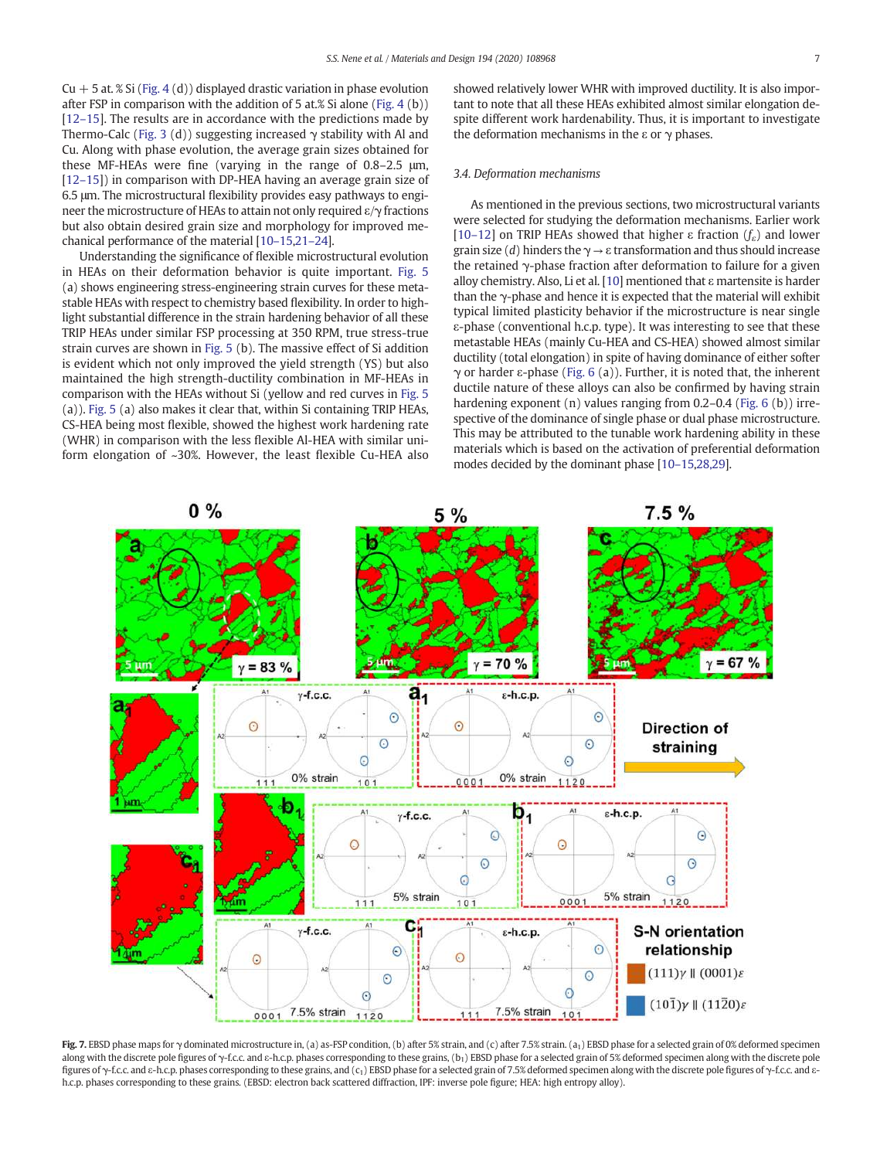$Cu + 5$  at. % Si (Fig. 4 (d)) displayed drastic variation in phase evolution after FSP in comparison with the addition of 5 at.% Si alone (Fig. 4 (b)) [12–15]. The results are in accordance with the predictions made by Thermo-Calc (Fig. 3 (d)) suggesting increased  $\gamma$  stability with Al and Cu. Along with phase evolution, the average grain sizes obtained for these MF-HEAs were fine (varying in the range of 0.8–2.5 μm, [12–15]) in comparison with DP-HEA having an average grain size of 6.5 μm. The microstructural flexibility provides easy pathways to engineer the microstructure of HEAs to attain not only required ε/γ fractions but also obtain desired grain size and morphology for improved mechanical performance of the material [10–15,21–24].

Understanding the significance of flexible microstructural evolution in HEAs on their deformation behavior is quite important. Fig. 5 (a) shows engineering stress-engineering strain curves for these metastable HEAs with respect to chemistry based flexibility. In order to highlight substantial difference in the strain hardening behavior of all these TRIP HEAs under similar FSP processing at 350 RPM, true stress-true strain curves are shown in Fig. 5 (b). The massive effect of Si addition is evident which not only improved the yield strength (YS) but also maintained the high strength-ductility combination in MF-HEAs in comparison with the HEAs without Si (yellow and red curves in Fig. 5 (a)). Fig. 5 (a) also makes it clear that, within Si containing TRIP HEAs, CS-HEA being most flexible, showed the highest work hardening rate (WHR) in comparison with the less flexible Al-HEA with similar uniform elongation of ~30%. However, the least flexible Cu-HEA also showed relatively lower WHR with improved ductility. It is also important to note that all these HEAs exhibited almost similar elongation despite different work hardenability. Thus, it is important to investigate the deformation mechanisms in the ε or  $γ$  phases.

# *3.4. Deformation mechanisms*

As mentioned in the previous sections, two microstructural variants were selected for studying the deformation mechanisms. Earlier work [10–12] on TRIP HEAs showed that higher ε fraction (*f*ε) and lower grain size (*d*) hinders the  $\gamma \rightarrow \varepsilon$  transformation and thus should increase the retained  $\gamma$ -phase fraction after deformation to failure for a given alloy chemistry. Also, Li et al. [10] mentioned that  $\varepsilon$  martensite is harder than the γ-phase and hence it is expected that the material will exhibit typical limited plasticity behavior if the microstructure is near single ε-phase (conventional h.c.p. type). It was interesting to see that these metastable HEAs (mainly Cu-HEA and CS-HEA) showed almost similar ductility (total elongation) in spite of having dominance of either softer γ or harder ε-phase (Fig. 6 (a)). Further, it is noted that, the inherent ductile nature of these alloys can also be confirmed by having strain hardening exponent (n) values ranging from 0.2–0.4 (Fig. 6 (b)) irrespective of the dominance of single phase or dual phase microstructure. This may be attributed to the tunable work hardening ability in these materials which is based on the activation of preferential deformation modes decided by the dominant phase [10–15,28,29].



Fig. 7. EBSD phase maps for γ dominated microstructure in, (a) as-FSP condition, (b) after 5% strain, and (c) after 7.5% strain. (a<sub>1</sub>) EBSD phase for a selected grain of 0% deformed specimen along with the discrete pole figures of γ-f.c.c. and ε-h.c.p. phases corresponding to these grains, (b<sub>1</sub>) EBSD phase for a selected grain of 5% deformed specimen along with the discrete pole figures of γ-f.c.c. and ε-h.c.p. phases corresponding to these grains, and (c<sub>1</sub>) EBSD phase for a selected grain of 7.5% deformed specimen along with the discrete pole figures of γ-f.c.c. and εh.c.p. phases corresponding to these grains. (EBSD: electron back scattered diffraction, IPF: inverse pole figure; HEA: high entropy alloy).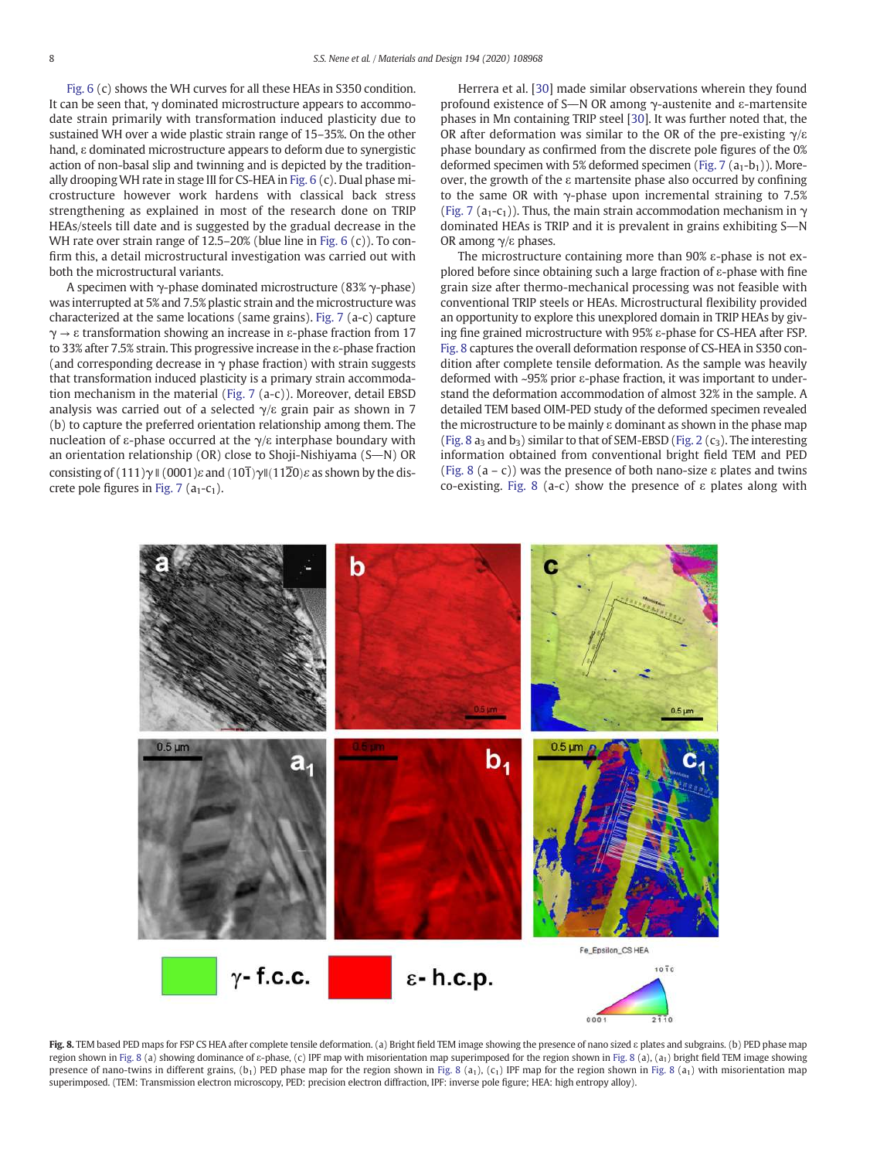Fig. 6 (c) shows the WH curves for all these HEAs in S350 condition. It can be seen that,  $\gamma$  dominated microstructure appears to accommodate strain primarily with transformation induced plasticity due to sustained WH over a wide plastic strain range of 15–35%. On the other hand, ε dominated microstructure appears to deform due to synergistic action of non-basal slip and twinning and is depicted by the traditionally droopingWH rate in stage III for CS-HEA in Fig. 6 (c). Dual phase microstructure however work hardens with classical back stress strengthening as explained in most of the research done on TRIP HEAs/steels till date and is suggested by the gradual decrease in the WH rate over strain range of 12.5–20% (blue line in Fig. 6 (c)). To confirm this, a detail microstructural investigation was carried out with both the microstructural variants.

A specimen with  $\gamma$ -phase dominated microstructure (83%  $\gamma$ -phase) was interrupted at 5% and 7.5% plastic strain and the microstructure was characterized at the same locations (same grains). Fig. 7 (a-c) capture  $\gamma \rightarrow \varepsilon$  transformation showing an increase in  $\varepsilon$ -phase fraction from 17 to 33% after 7.5% strain. This progressive increase in the ε-phase fraction (and corresponding decrease in  $\gamma$  phase fraction) with strain suggests that transformation induced plasticity is a primary strain accommodation mechanism in the material (Fig. 7 (a-c)). Moreover, detail EBSD analysis was carried out of a selected  $\gamma$ /ε grain pair as shown in 7 (b) to capture the preferred orientation relationship among them. The nucleation of ε-phase occurred at the  $\gamma$ /ε interphase boundary with an orientation relationship (OR) close to Shoji-Nishiyama (S $\rightarrow$ N) OR consisting of (111)γ  $\parallel$  (0001) $\varepsilon$  and (10 $\overline{1}$ )γ $\parallel$ (11 $\overline{2}$ 0) $\varepsilon$  as shown by the discrete pole figures in Fig. 7 ( $a_1$ - $c_1$ ).

Herrera et al. [30] made similar observations wherein they found profound existence of S $-N$  OR among  $\gamma$ -austenite and ε-martensite phases in Mn containing TRIP steel [30]. It was further noted that, the OR after deformation was similar to the OR of the pre-existing  $\gamma/\varepsilon$ phase boundary as confirmed from the discrete pole figures of the 0% deformed specimen with 5% deformed specimen (Fig. 7  $(a_1-b_1)$ ). Moreover, the growth of the ε martensite phase also occurred by confining to the same OR with  $\gamma$ -phase upon incremental straining to 7.5% (Fig. 7 (a<sub>1</sub>-c<sub>1</sub>)). Thus, the main strain accommodation mechanism in  $\gamma$ dominated HEAs is TRIP and it is prevalent in grains exhibiting  $S-N$ OR among  $γ/ε$  phases.

The microstructure containing more than 90% ε-phase is not explored before since obtaining such a large fraction of ε-phase with fine grain size after thermo-mechanical processing was not feasible with conventional TRIP steels or HEAs. Microstructural flexibility provided an opportunity to explore this unexplored domain in TRIP HEAs by giving fine grained microstructure with 95% ε-phase for CS-HEA after FSP. Fig. 8 captures the overall deformation response of CS-HEA in S350 condition after complete tensile deformation. As the sample was heavily deformed with ~95% prior ε-phase fraction, it was important to understand the deformation accommodation of almost 32% in the sample. A detailed TEM based OIM-PED study of the deformed specimen revealed the microstructure to be mainly ε dominant as shown in the phase map (Fig. 8 a<sub>3</sub> and b<sub>3</sub>) similar to that of SEM-EBSD (Fig. 2 (c<sub>3</sub>). The interesting information obtained from conventional bright field TEM and PED (Fig. 8 (a – c)) was the presence of both nano-size  $\varepsilon$  plates and twins co-existing. Fig. 8 (a-c) show the presence of ε plates along with



Fig. 8. TEM based PED maps for FSP CS HEA after complete tensile deformation. (a) Bright field TEM image showing the presence of nano sized  $\varepsilon$  plates and subgrains. (b) PED phase map region shown in Fig. 8 (a) showing dominance of ε-phase, (c) IPF map with misorientation map superimposed for the region shown in Fig. 8 (a), (a<sub>1</sub>) bright field TEM image showing presence of nano-twins in different grains,  $(b_1)$  PED phase map for the region shown in Fig. 8 (a<sub>1</sub>), (c<sub>1</sub>) IPF map for the region shown in Fig. 8 (a<sub>1</sub>) with misorientation map superimposed. (TEM: Transmission electron microscopy, PED: precision electron diffraction, IPF: inverse pole figure; HEA: high entropy alloy).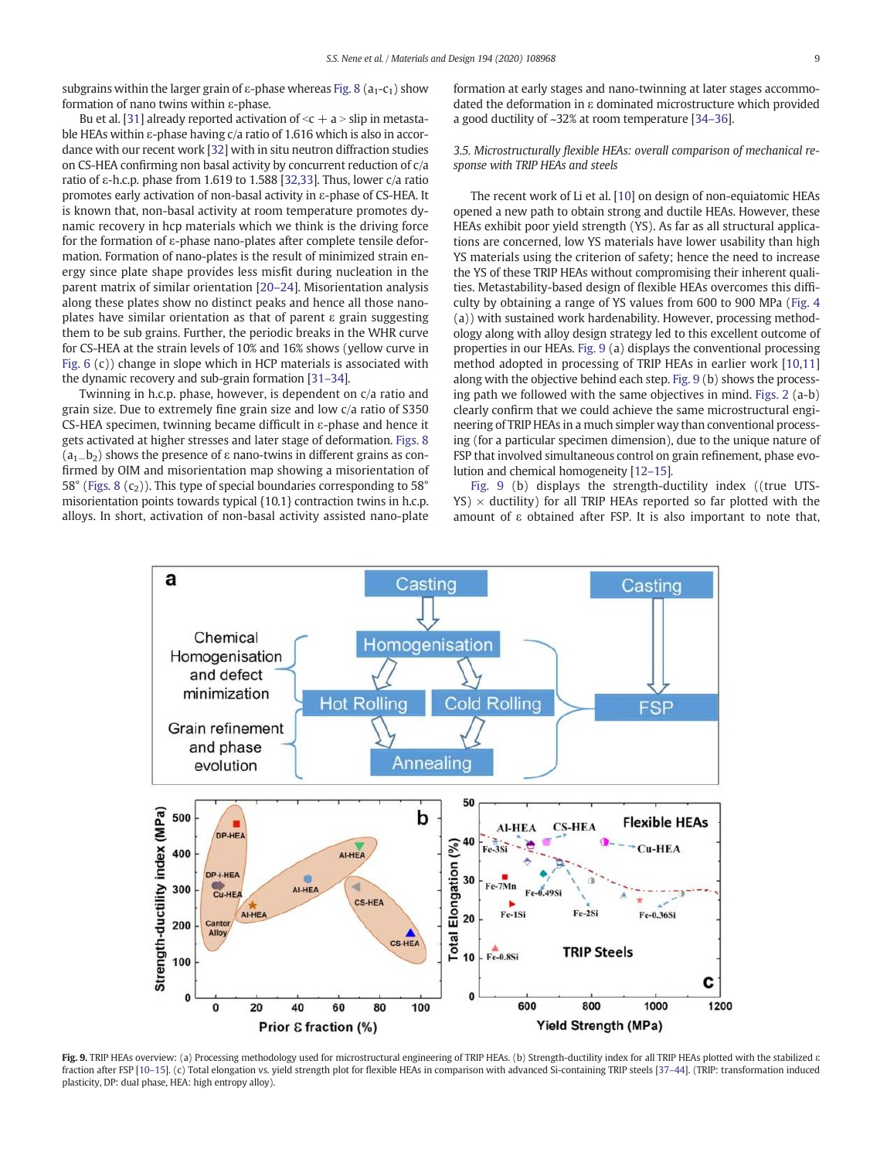subgrains within the larger grain of  $\varepsilon$ -phase whereas Fig. 8 ( $a_1$ - $c_1$ ) show formation of nano twins within ε-phase.

Bu et al. [31] already reported activation of  $\leq c+a$  > slip in metastable HEAs within ε-phase having c/a ratio of 1.616 which is also in accordance with our recent work [32] with in situ neutron diffraction studies on CS-HEA confirming non basal activity by concurrent reduction of c/a ratio of ε-h.c.p. phase from 1.619 to 1.588 [32,33]. Thus, lower c/a ratio promotes early activation of non-basal activity in ε-phase of CS-HEA. It is known that, non-basal activity at room temperature promotes dynamic recovery in hcp materials which we think is the driving force for the formation of ε-phase nano-plates after complete tensile deformation. Formation of nano-plates is the result of minimized strain energy since plate shape provides less misfit during nucleation in the parent matrix of similar orientation [20–24]. Misorientation analysis along these plates show no distinct peaks and hence all those nanoplates have similar orientation as that of parent ε grain suggesting them to be sub grains. Further, the periodic breaks in the WHR curve for CS-HEA at the strain levels of 10% and 16% shows (yellow curve in Fig. 6 (c)) change in slope which in HCP materials is associated with the dynamic recovery and sub-grain formation [31–34].

Twinning in h.c.p. phase, however, is dependent on c/a ratio and grain size. Due to extremely fine grain size and low c/a ratio of S350 CS-HEA specimen, twinning became difficult in ε-phase and hence it gets activated at higher stresses and later stage of deformation. Figs. 8  $(a<sub>1</sub>−b<sub>2</sub>)$  shows the presence of  $\varepsilon$  nano-twins in different grains as confirmed by OIM and misorientation map showing a misorientation of 58° (Figs. 8  $(c_2)$ ). This type of special boundaries corresponding to 58° misorientation points towards typical {10.1} contraction twins in h.c.p. alloys. In short, activation of non-basal activity assisted nano-plate

formation at early stages and nano-twinning at later stages accommodated the deformation in ε dominated microstructure which provided a good ductility of ~32% at room temperature [34–36].

# *3.5. Microstructurally* fl*exible HEAs: overall comparison of mechanical response with TRIP HEAs and steels*

The recent work of Li et al. [10] on design of non-equiatomic HEAs opened a new path to obtain strong and ductile HEAs. However, these HEAs exhibit poor yield strength (YS). As far as all structural applications are concerned, low YS materials have lower usability than high YS materials using the criterion of safety; hence the need to increase the YS of these TRIP HEAs without compromising their inherent qualities. Metastability-based design of flexible HEAs overcomes this difficulty by obtaining a range of YS values from 600 to 900 MPa (Fig. 4 (a)) with sustained work hardenability. However, processing methodology along with alloy design strategy led to this excellent outcome of properties in our HEAs. Fig. 9 (a) displays the conventional processing method adopted in processing of TRIP HEAs in earlier work [10,11] along with the objective behind each step. Fig. 9 (b) shows the processing path we followed with the same objectives in mind. Figs. 2 (a-b) clearly confirm that we could achieve the same microstructural engineering of TRIP HEAs in a much simpler way than conventional processing (for a particular specimen dimension), due to the unique nature of FSP that involved simultaneous control on grain refinement, phase evolution and chemical homogeneity [12–15]*.*

Fig. 9 (b) displays the strength-ductility index ((true UTS- $YS$ )  $\times$  ductility) for all TRIP HEAs reported so far plotted with the amount of ε obtained after FSP. It is also important to note that,



Fig. 9. TRIP HEAs overview: (a) Processing methodology used for microstructural engineering of TRIP HEAs. (b) Strength-ductility index for all TRIP HEAs plotted with the stabilized a fraction after FSP [10–15]. (c) Total elongation vs. yield strength plot for flexible HEAs in comparison with advanced Si-containing TRIP steels [37–44]. (TRIP: transformation induced plasticity, DP: dual phase, HEA: high entropy alloy).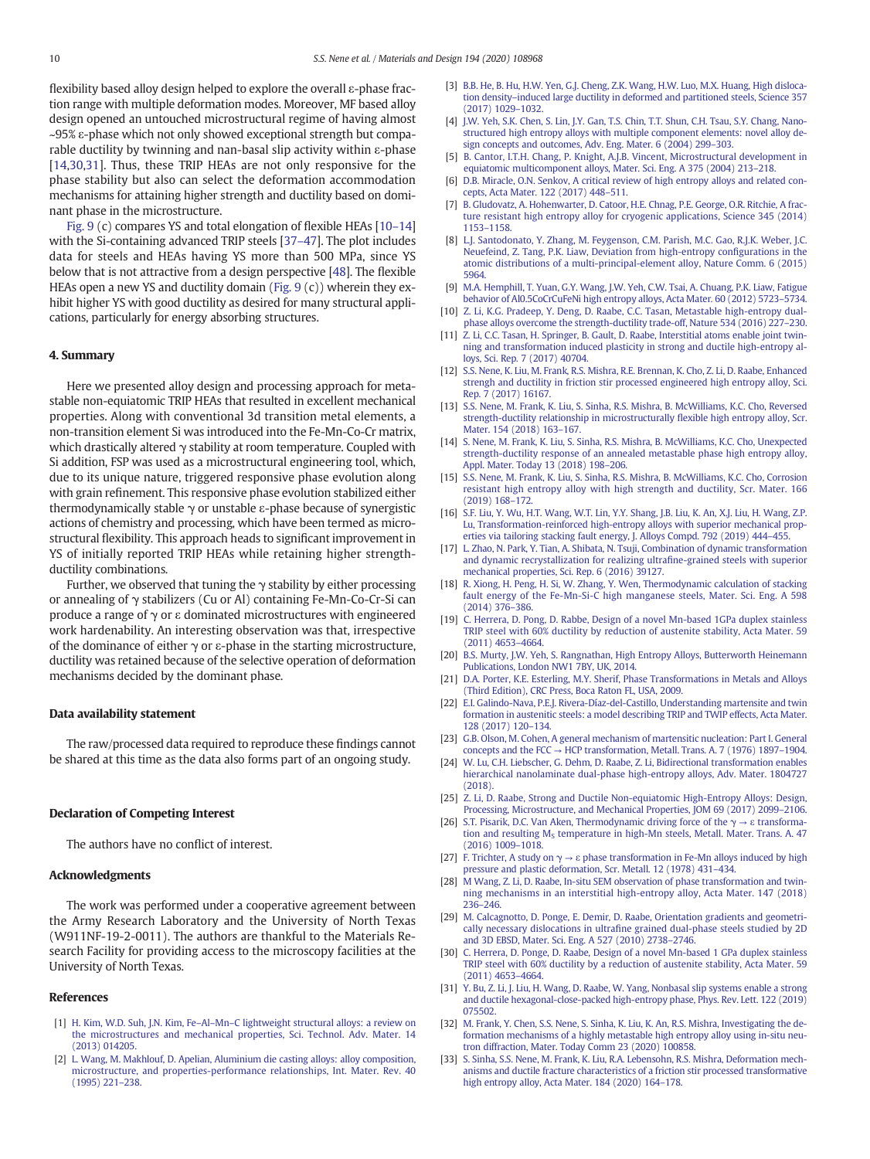flexibility based alloy design helped to explore the overall ε-phase fraction range with multiple deformation modes. Moreover, MF based alloy design opened an untouched microstructural regime of having almost ~95% ε-phase which not only showed exceptional strength but comparable ductility by twinning and nan-basal slip activity within ε-phase [14,30,31]. Thus, these TRIP HEAs are not only responsive for the phase stability but also can select the deformation accommodation mechanisms for attaining higher strength and ductility based on dominant phase in the microstructure.

Fig. 9 (c) compares YS and total elongation of flexible HEAs [10–14] with the Si-containing advanced TRIP steels [37–47]. The plot includes data for steels and HEAs having YS more than 500 MPa, since YS below that is not attractive from a design perspective [48]. The flexible HEAs open a new YS and ductility domain (Fig. 9 (c)) wherein they exhibit higher YS with good ductility as desired for many structural applications, particularly for energy absorbing structures.

### 4. Summary

Here we presented alloy design and processing approach for metastable non-equiatomic TRIP HEAs that resulted in excellent mechanical properties. Along with conventional 3d transition metal elements, a non-transition element Si was introduced into the Fe-Mn-Co-Cr matrix, which drastically altered  $\gamma$  stability at room temperature. Coupled with Si addition, FSP was used as a microstructural engineering tool, which, due to its unique nature, triggered responsive phase evolution along with grain refinement. This responsive phase evolution stabilized either thermodynamically stable  $\gamma$  or unstable  $\varepsilon$ -phase because of synergistic actions of chemistry and processing, which have been termed as microstructural flexibility. This approach heads to significant improvement in YS of initially reported TRIP HEAs while retaining higher strengthductility combinations.

Further, we observed that tuning the  $\gamma$  stability by either processing or annealing of γ stabilizers (Cu or Al) containing Fe-Mn-Co-Cr-Si can produce a range of  $γ$  or  $ε$  dominated microstructures with engineered work hardenability. An interesting observation was that, irrespective of the dominance of either  $γ$  or  $ε$ -phase in the starting microstructure, ductility was retained because of the selective operation of deformation mechanisms decided by the dominant phase.

#### Data availability statement

The raw/processed data required to reproduce these findings cannot be shared at this time as the data also forms part of an ongoing study.

#### Declaration of Competing Interest

The authors have no conflict of interest.

#### Acknowledgments

The work was performed under a cooperative agreement between the Army Research Laboratory and the University of North Texas (W911NF-19-2-0011). The authors are thankful to the Materials Research Facility for providing access to the microscopy facilities at the University of North Texas.

#### References

- [1] H. Kim, W.D. Suh, J.N. Kim, Fe–Al–Mn–C lightweight structural alloys: a review on the microstructures and mechanical properties, Sci. Technol. Adv. Mater. 14 (2013) 014205.
- [2] L. Wang, M. Makhlouf, D. Apelian, Aluminium die casting alloys: alloy composition, microstructure, and properties-performance relationships, Int. Mater. Rev. 40 (1995) 221–238.
- [3] B.B. He, B. Hu, H.W. Yen, G.J. Cheng, Z.K. Wang, H.W. Luo, M.X. Huang, High dislocation density–induced large ductility in deformed and partitioned steels, Science 357 (2017) 1029–1032.
- [4] J.W. Yeh, S.K. Chen, S. Lin, J.Y. Gan, T.S. Chin, T.T. Shun, C.H. Tsau, S.Y. Chang, Nanostructured high entropy alloys with multiple component elements: novel alloy design concepts and outcomes, Adv. Eng. Mater. 6 (2004) 299–303.
- [5] B. Cantor, I.T.H. Chang, P. Knight, A.J.B. Vincent, Microstructural development in equiatomic multicomponent alloys, Mater. Sci. Eng. A 375 (2004) 213–218.
- D.B. Miracle, O.N. Senkov, A critical review of high entropy alloys and related concepts, Acta Mater. 122 (2017) 448–511.
- [7] B. Gludovatz, A. Hohenwarter, D. Catoor, H.E. Chnag, P.E. George, O.R. Ritchie, A fracture resistant high entropy alloy for cryogenic applications, Science 345 (2014) 1153–1158.
- [8] L.J. Santodonato, Y. Zhang, M. Feygenson, C.M. Parish, M.C. Gao, R.J.K. Weber, J.C. Neuefeind, Z. Tang, P.K. Liaw, Deviation from high-entropy configurations in the atomic distributions of a multi-principal-element alloy, Nature Comm. 6 (2015) 5964.
- [9] M.A. Hemphill, T. Yuan, G.Y. Wang, J.W. Yeh, C.W. Tsai, A. Chuang, P.K. Liaw, Fatigue behavior of Al0.5CoCrCuFeNi high entropy alloys, Acta Mater*.* 60 (2012) 5723–5734.
- [10] Z. Li, K.G. Pradeep, Y. Deng, D. Raabe, C.C. Tasan, Metastable high-entropy dualphase alloys overcome the strength-ductility trade-off, Nature 534 (2016) 227–230.
- [11] Z. Li, C.C. Tasan, H. Springer, B. Gault, D. Raabe, Interstitial atoms enable joint twinning and transformation induced plasticity in strong and ductile high-entropy alloys, Sci. Rep*.* 7 (2017) 40704.
- [12] S.S. Nene, K. Liu, M. Frank, R.S. Mishra, R.E. Brennan, K. Cho, Z. Li, D. Raabe, Enhanced strengh and ductility in friction stir processed engineered high entropy alloy, Sci. Rep. 7 (2017) 16167.
- [13] S.S. Nene, M. Frank, K. Liu, S. Sinha, R.S. Mishra, B. McWilliams, K.C. Cho, Reversed strength-ductility relationship in microstructurally flexible high entropy alloy, Scr. Mater. 154 (2018) 163–167.
- [14] S. Nene, M. Frank, K. Liu, S. Sinha, R.S. Mishra, B. McWilliams, K.C. Cho, Unexpected strength-ductility response of an annealed metastable phase high entropy alloy, Appl. Mater. Today 13 (2018) 198–206.
- [15] S.S. Nene, M. Frank, K. Liu, S. Sinha, R.S. Mishra, B. McWilliams, K.C. Cho, Corrosion resistant high entropy alloy with high strength and ductility, Scr. Mater. 166 (2019) 168–172.
- [16] S.F. Liu, Y. Wu, H.T. Wang, W.T. Lin, Y.Y. Shang, J.B. Liu, K. An, X.J. Liu, H. Wang, Z.P. Lu, Transformation-reinforced high-entropy alloys with superior mechanical properties via tailoring stacking fault energy, J. Alloys Compd. 792 (2019) 444–455.
- [17] L. Zhao, N. Park, Y. Tian, A. Shibata, N. Tsuji, Combination of dynamic transformation and dynamic recrystallization for realizing ultrafine-grained steels with superior mechanical properties, Sci. Rep. 6 (2016) 39127.
- [18] R. Xiong, H. Peng, H. Si, W. Zhang, Y. Wen, Thermodynamic calculation of stacking fault energy of the Fe-Mn-Si-C high manganese steels, Mater. Sci. Eng. A 598 (2014) 376–386.
- [19] C. Herrera, D. Pong, D. Rabbe, Design of a novel Mn-based 1GPa duplex stainless TRIP steel with 60% ductility by reduction of austenite stability, Acta Mater. 59 (2011) 4653–4664.
- [20] B.S. Murty, J.W. Yeh, S. Rangnathan, High Entropy Alloys, Butterworth Heinemann Publications, London NW1 7BY, UK, 2014.
- [21] D.A. Porter, K.E. Esterling, M.Y. Sherif, Phase Transformations in Metals and Alloys (Third Edition), CRC Press, Boca Raton FL, USA, 2009.
- [22] E.I. Galindo-Nava, P.E.J. Rivera-Díaz-del-Castillo, Understanding martensite and twin formation in austenitic steels: a model describing TRIP and TWIP effects, Acta Mater. 128 (2017) 120–134.
- [23] G.B. Olson, M. Cohen, A general mechanism of martensitic nucleation: Part I. General concepts and the FCC  $\rightarrow$  HCP transformation, Metall. Trans. A. 7 (1976) 1897–1904.
- [24] W. Lu, C.H. Liebscher, G. Dehm, D. Raabe, Z. Li, Bidirectional transformation enables hierarchical nanolaminate dual-phase high-entropy alloys, Adv. Mater. 1804727 (2018).
- [25] Z. Li, D. Raabe, Strong and Ductile Non-equiatomic High-Entropy Alloys: Design, Processing, Microstructure, and Mechanical Properties, JOM 69 (2017) 2099–2106.
- [26] S.T. Pisarik, D.C. Van Aken, Thermodynamic driving force of the  $\gamma \rightarrow \epsilon$  transformation and resulting  $M_S$  temperature in high-Mn steels, Metall. Mater. Trans. A. 47 (2016) 1009–1018.
- [27] F. Trichter, A study on  $\gamma \rightarrow \varepsilon$  phase transformation in Fe-Mn alloys induced by high pressure and plastic deformation, Scr. Metall. 12 (1978) 431–434.
- [28] M Wang, Z. Li, D. Raabe, In-situ SEM observation of phase transformation and twinning mechanisms in an interstitial high-entropy alloy, Acta Mater. 147 (2018) 236–246.
- [29] M. Calcagnotto, D. Ponge, E. Demir, D. Raabe, Orientation gradients and geometrically necessary dislocations in ultrafine grained dual-phase steels studied by 2D and 3D EBSD, Mater. Sci. Eng. A 527 (2010) 2738–2746.
- [30] C. Herrera, D. Ponge, D. Raabe, Design of a novel Mn-based 1 GPa duplex stainless TRIP steel with 60% ductility by a reduction of austenite stability, Acta Mater. 59 (2011) 4653–4664.
- [31] Y. Bu, Z. Li, J. Liu, H. Wang, D. Raabe, W. Yang, Nonbasal slip systems enable a strong and ductile hexagonal-close-packed high-entropy phase, Phys. Rev. Lett. 122 (2019) 075502.
- [32] M. Frank, Y. Chen, S.S. Nene, S. Sinha, K. Liu, K. An, R.S. Mishra, Investigating the deformation mechanisms of a highly metastable high entropy alloy using in-situ neutron diffraction, Mater. Today Comm 23 (2020) 100858.
- [33] S. Sinha, S.S. Nene, M. Frank, K. Liu, R.A. Lebensohn, R.S. Mishra, Deformation mechanisms and ductile fracture characteristics of a friction stir processed transformative high entropy alloy, Acta Mater. 184 (2020) 164–178.